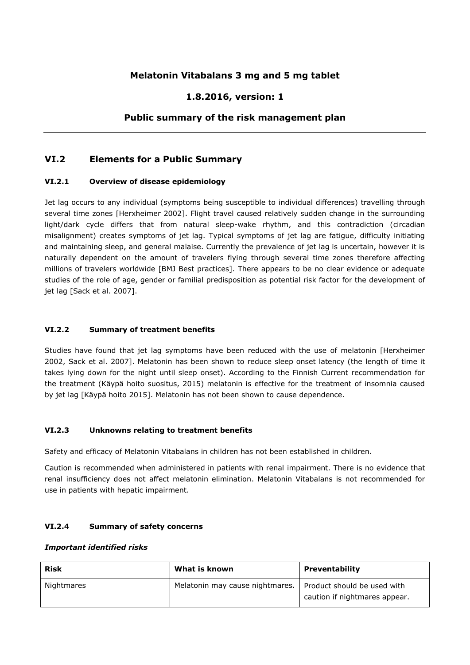# **Melatonin Vitabalans 3 mg and 5 mg tablet**

# **1.8.2016, version: 1**

## **Public summary of the risk management plan**

### **VI.2 Elements for a Public Summary**

#### **VI.2.1 Overview of disease epidemiology**

Jet lag occurs to any individual (symptoms being susceptible to individual differences) travelling through several time zones [Herxheimer 2002]. Flight travel caused relatively sudden change in the surrounding light/dark cycle differs that from natural sleep-wake rhythm, and this contradiction (circadian misalignment) creates symptoms of jet lag. Typical symptoms of jet lag are fatigue, difficulty initiating and maintaining sleep, and general malaise. Currently the prevalence of jet lag is uncertain, however it is naturally dependent on the amount of travelers flying through several time zones therefore affecting millions of travelers worldwide [BMJ Best practices]. There appears to be no clear evidence or adequate studies of the role of age, gender or familial predisposition as potential risk factor for the development of jet lag [Sack et al. 2007].

### **VI.2.2 Summary of treatment benefits**

Studies have found that jet lag symptoms have been reduced with the use of melatonin [Herxheimer 2002, Sack et al. 2007]. Melatonin has been shown to reduce sleep onset latency (the length of time it takes lying down for the night until sleep onset). According to the Finnish Current recommendation for the treatment (Käypä hoito suositus, 2015) melatonin is effective for the treatment of insomnia caused by jet lag [Käypä hoito 2015]. Melatonin has not been shown to cause dependence.

#### **VI.2.3 Unknowns relating to treatment benefits**

Safety and efficacy of Melatonin Vitabalans in children has not been established in children.

Caution is recommended when administered in patients with renal impairment. There is no evidence that renal insufficiency does not affect melatonin elimination. Melatonin Vitabalans is not recommended for use in patients with hepatic impairment.

#### **VI.2.4 Summary of safety concerns**

#### *Important identified risks*

| <b>Risk</b> | What is known                   | Preventability                                               |
|-------------|---------------------------------|--------------------------------------------------------------|
| Nightmares  | Melatonin may cause nightmares. | Product should be used with<br>caution if nightmares appear. |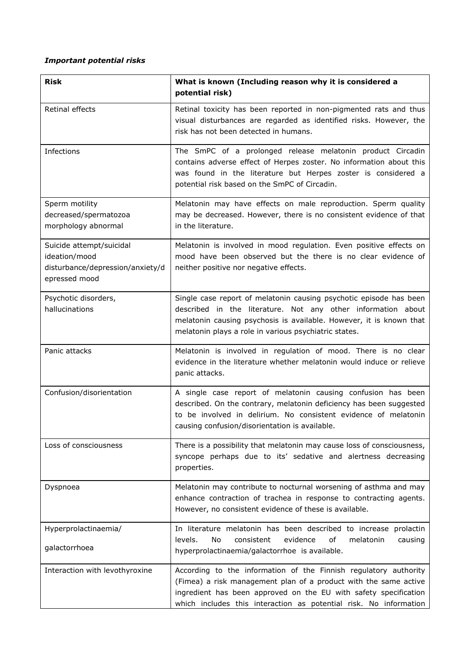# *Important potential risks*

| <b>Risk</b>                                                                                    | What is known (Including reason why it is considered a<br>potential risk)                                                                                                                                                                                                     |
|------------------------------------------------------------------------------------------------|-------------------------------------------------------------------------------------------------------------------------------------------------------------------------------------------------------------------------------------------------------------------------------|
| Retinal effects                                                                                | Retinal toxicity has been reported in non-pigmented rats and thus<br>visual disturbances are regarded as identified risks. However, the<br>risk has not been detected in humans.                                                                                              |
| Infections                                                                                     | The SmPC of a prolonged release melatonin product Circadin<br>contains adverse effect of Herpes zoster. No information about this<br>was found in the literature but Herpes zoster is considered a<br>potential risk based on the SmPC of Circadin.                           |
| Sperm motility<br>decreased/spermatozoa<br>morphology abnormal                                 | Melatonin may have effects on male reproduction. Sperm quality<br>may be decreased. However, there is no consistent evidence of that<br>in the literature.                                                                                                                    |
| Suicide attempt/suicidal<br>ideation/mood<br>disturbance/depression/anxiety/d<br>epressed mood | Melatonin is involved in mood regulation. Even positive effects on<br>mood have been observed but the there is no clear evidence of<br>neither positive nor negative effects.                                                                                                 |
| Psychotic disorders,<br>hallucinations                                                         | Single case report of melatonin causing psychotic episode has been<br>described in the literature. Not any other information about<br>melatonin causing psychosis is available. However, it is known that<br>melatonin plays a role in various psychiatric states.            |
| Panic attacks                                                                                  | Melatonin is involved in regulation of mood. There is no clear<br>evidence in the literature whether melatonin would induce or relieve<br>panic attacks.                                                                                                                      |
| Confusion/disorientation                                                                       | A single case report of melatonin causing confusion has been<br>described. On the contrary, melatonin deficiency has been suggested<br>to be involved in delirium. No consistent evidence of melatonin<br>causing confusion/disorientation is available.                      |
| Loss of consciousness                                                                          | There is a possibility that melatonin may cause loss of consciousness,<br>syncope perhaps due to its' sedative and alertness decreasing<br>properties.                                                                                                                        |
| Dyspnoea                                                                                       | Melatonin may contribute to nocturnal worsening of asthma and may<br>enhance contraction of trachea in response to contracting agents.<br>However, no consistent evidence of these is available.                                                                              |
| Hyperprolactinaemia/<br>galactorrhoea                                                          | In literature melatonin has been described to increase prolactin<br>melatonin<br>levels.<br>No<br>consistent<br>evidence<br>0f<br>causing<br>hyperprolactinaemia/galactorrhoe is available.                                                                                   |
| Interaction with levothyroxine                                                                 | According to the information of the Finnish regulatory authority<br>(Fimea) a risk management plan of a product with the same active<br>ingredient has been approved on the EU with safety specification<br>which includes this interaction as potential risk. No information |